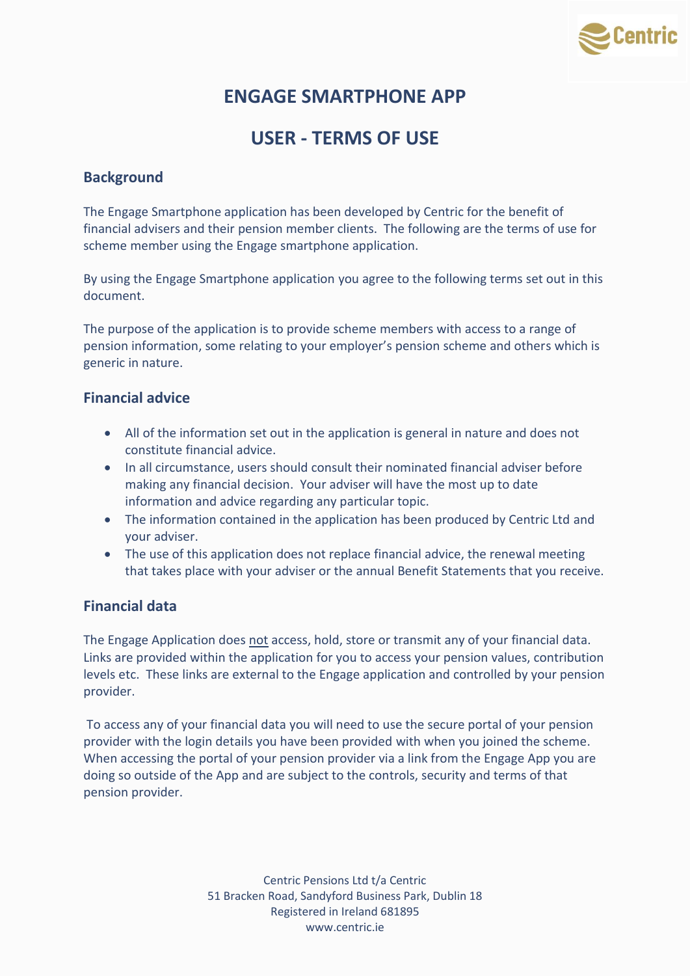

# **ENGAGE SMARTPHONE APP**

# **USER - TERMS OF USE**

# **Background**

The Engage Smartphone application has been developed by Centric for the benefit of financial advisers and their pension member clients. The following are the terms of use for scheme member using the Engage smartphone application.

By using the Engage Smartphone application you agree to the following terms set out in this document.

The purpose of the application is to provide scheme members with access to a range of pension information, some relating to your employer's pension scheme and others which is generic in nature.

## **Financial advice**

- All of the information set out in the application is general in nature and does not constitute financial advice.
- In all circumstance, users should consult their nominated financial adviser before making any financial decision. Your adviser will have the most up to date information and advice regarding any particular topic.
- The information contained in the application has been produced by Centric Ltd and your adviser.
- The use of this application does not replace financial advice, the renewal meeting that takes place with your adviser or the annual Benefit Statements that you receive.

## **Financial data**

The Engage Application does not access, hold, store or transmit any of your financial data. Links are provided within the application for you to access your pension values, contribution levels etc. These links are external to the Engage application and controlled by your pension provider.

To access any of your financial data you will need to use the secure portal of your pension provider with the login details you have been provided with when you joined the scheme. When accessing the portal of your pension provider via a link from the Engage App you are doing so outside of the App and are subject to the controls, security and terms of that pension provider.

> Centric Pensions Ltd t/a Centric 51 Bracken Road, Sandyford Business Park, Dublin 18 Registered in Ireland 681895 www.centric.ie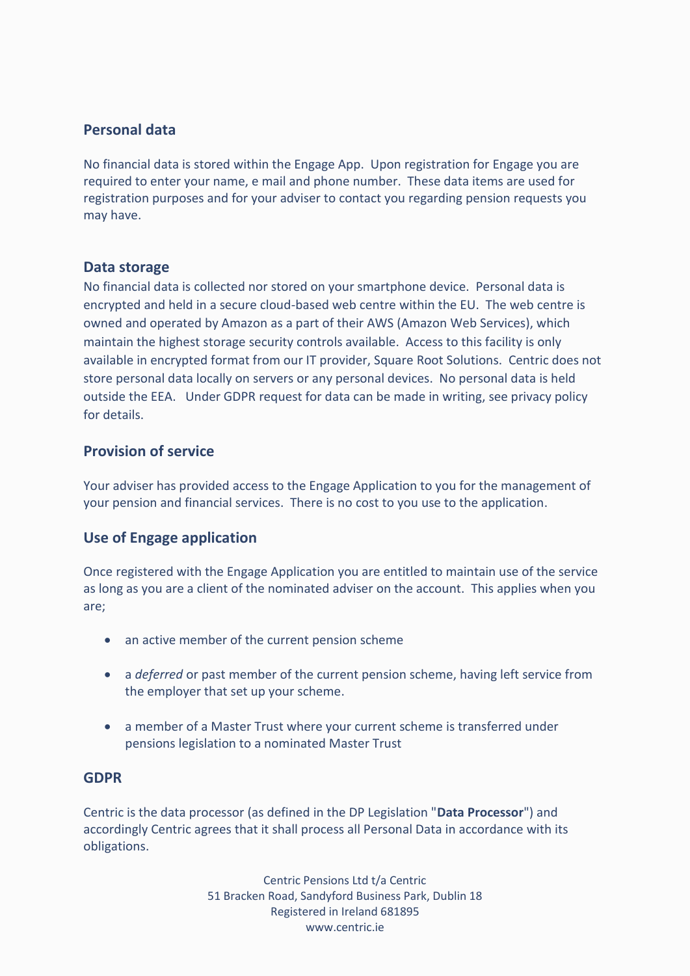## **Personal data**

No financial data is stored within the Engage App. Upon registration for Engage you are required to enter your name, e mail and phone number. These data items are used for registration purposes and for your adviser to contact you regarding pension requests you may have.

#### **Data storage**

No financial data is collected nor stored on your smartphone device. Personal data is encrypted and held in a secure cloud-based web centre within the EU. The web centre is owned and operated by Amazon as a part of their AWS (Amazon Web Services), which maintain the highest storage security controls available. Access to this facility is only available in encrypted format from our IT provider, Square Root Solutions. Centric does not store personal data locally on servers or any personal devices. No personal data is held outside the EEA. Under GDPR request for data can be made in writing, see privacy policy for details.

# **Provision of service**

Your adviser has provided access to the Engage Application to you for the management of your pension and financial services. There is no cost to you use to the application.

## **Use of Engage application**

Once registered with the Engage Application you are entitled to maintain use of the service as long as you are a client of the nominated adviser on the account. This applies when you are;

- an active member of the current pension scheme
- a *deferred* or past member of the current pension scheme, having left service from the employer that set up your scheme.
- a member of a Master Trust where your current scheme is transferred under pensions legislation to a nominated Master Trust

#### **GDPR**

Centric is the data processor (as defined in the DP Legislation "**Data Processor**") and accordingly Centric agrees that it shall process all Personal Data in accordance with its obligations.

> Centric Pensions Ltd t/a Centric 51 Bracken Road, Sandyford Business Park, Dublin 18 Registered in Ireland 681895 www.centric.ie